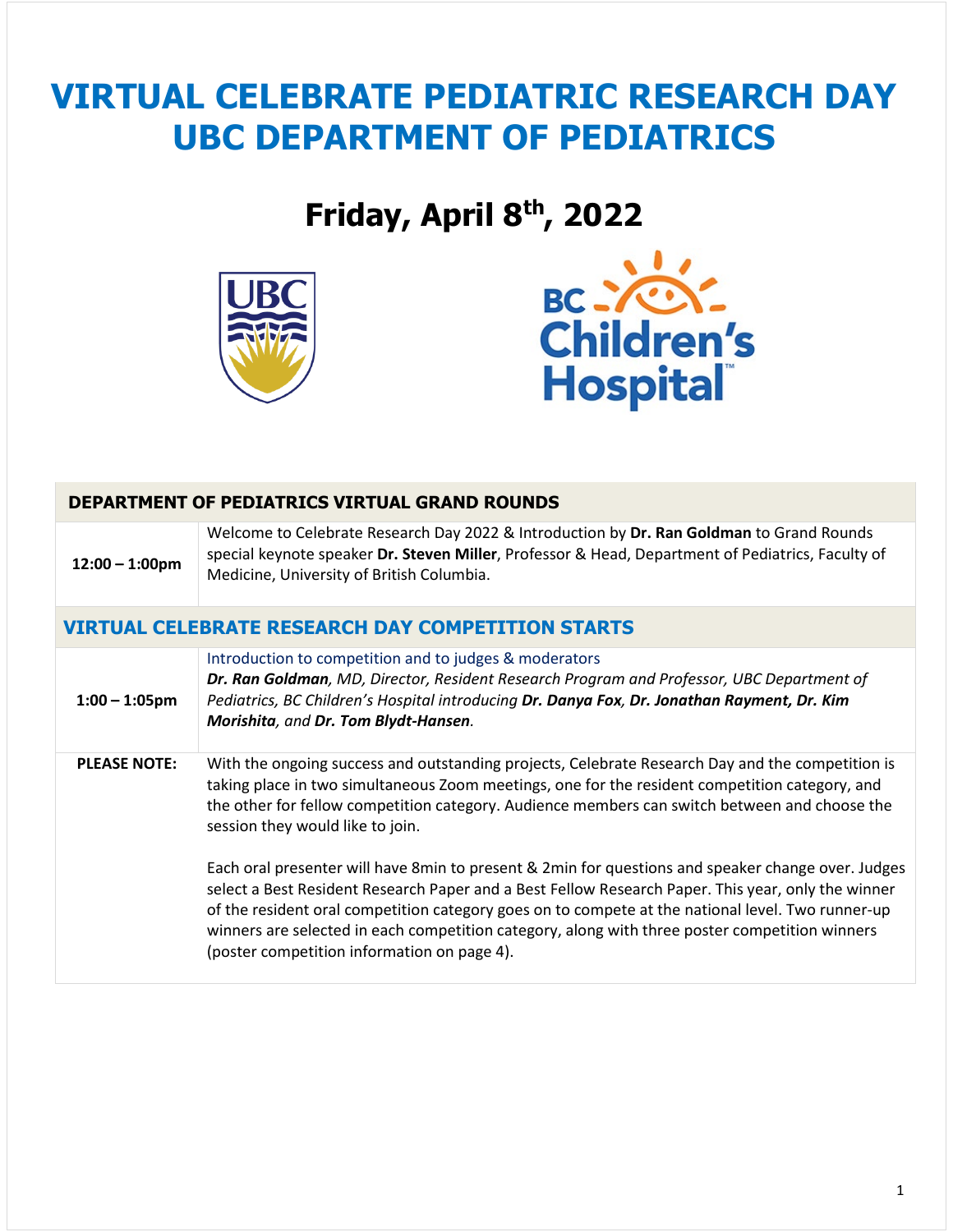# **VIRTUAL CELEBRATE PEDIATRIC RESEARCH DAY UBC DEPARTMENT OF PEDIATRICS**

## **Friday, April 8th, 2022**





| DEPARTMENT OF PEDIATRICS VIRTUAL GRAND ROUNDS |                                                                                                                                                                                                                                                                                                                                                                                                                                                                                                                                                                                                                                                                                                                                                                                                           |  |
|-----------------------------------------------|-----------------------------------------------------------------------------------------------------------------------------------------------------------------------------------------------------------------------------------------------------------------------------------------------------------------------------------------------------------------------------------------------------------------------------------------------------------------------------------------------------------------------------------------------------------------------------------------------------------------------------------------------------------------------------------------------------------------------------------------------------------------------------------------------------------|--|
| $12:00 - 1:00$ pm                             | Welcome to Celebrate Research Day 2022 & Introduction by Dr. Ran Goldman to Grand Rounds<br>special keynote speaker Dr. Steven Miller, Professor & Head, Department of Pediatrics, Faculty of<br>Medicine, University of British Columbia.                                                                                                                                                                                                                                                                                                                                                                                                                                                                                                                                                                |  |
|                                               | <b>VIRTUAL CELEBRATE RESEARCH DAY COMPETITION STARTS</b>                                                                                                                                                                                                                                                                                                                                                                                                                                                                                                                                                                                                                                                                                                                                                  |  |
| $1:00 - 1:05$ pm                              | Introduction to competition and to judges & moderators<br>Dr. Ran Goldman, MD, Director, Resident Research Program and Professor, UBC Department of<br>Pediatrics, BC Children's Hospital introducing Dr. Danya Fox, Dr. Jonathan Rayment, Dr. Kim<br>Morishita, and Dr. Tom Blydt-Hansen.                                                                                                                                                                                                                                                                                                                                                                                                                                                                                                                |  |
| <b>PLEASE NOTE:</b>                           | With the ongoing success and outstanding projects, Celebrate Research Day and the competition is<br>taking place in two simultaneous Zoom meetings, one for the resident competition category, and<br>the other for fellow competition category. Audience members can switch between and choose the<br>session they would like to join.<br>Each oral presenter will have 8min to present & 2min for questions and speaker change over. Judges<br>select a Best Resident Research Paper and a Best Fellow Research Paper. This year, only the winner<br>of the resident oral competition category goes on to compete at the national level. Two runner-up<br>winners are selected in each competition category, along with three poster competition winners<br>(poster competition information on page 4). |  |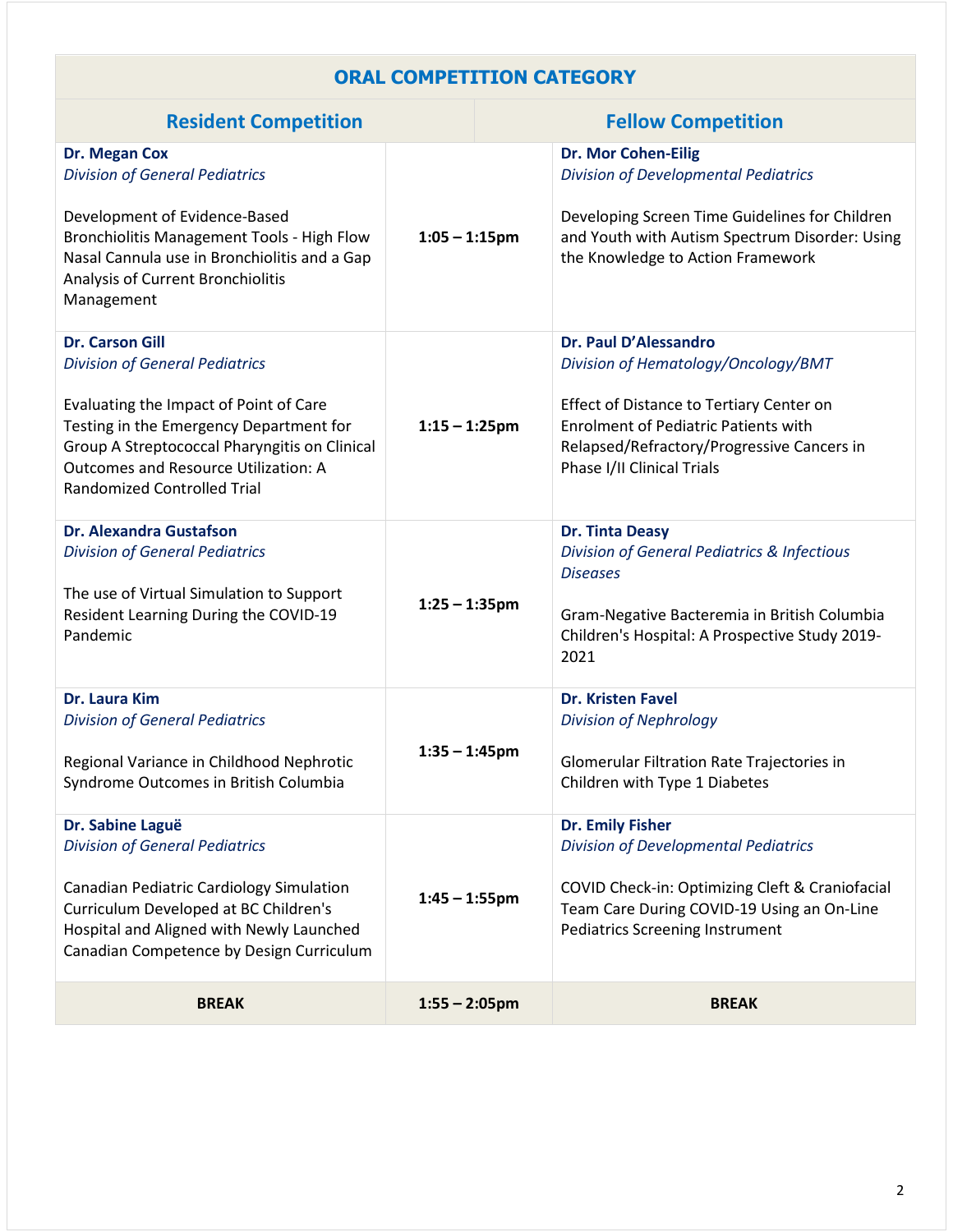#### **ORAL COMPETITION CATEGORY**

| <b>Resident Competition</b>                                                                                                                                                                                                                                                                |                  | <b>Fellow Competition</b> |                                                                                                                                                                                                                                     |
|--------------------------------------------------------------------------------------------------------------------------------------------------------------------------------------------------------------------------------------------------------------------------------------------|------------------|---------------------------|-------------------------------------------------------------------------------------------------------------------------------------------------------------------------------------------------------------------------------------|
| <b>Dr. Megan Cox</b><br><b>Division of General Pediatrics</b><br>Development of Evidence-Based<br>Bronchiolitis Management Tools - High Flow<br>Nasal Cannula use in Bronchiolitis and a Gap<br>Analysis of Current Bronchiolitis<br>Management                                            | $1:05 - 1:15$ pm |                           | <b>Dr. Mor Cohen-Eilig</b><br><b>Division of Developmental Pediatrics</b><br>Developing Screen Time Guidelines for Children<br>and Youth with Autism Spectrum Disorder: Using<br>the Knowledge to Action Framework                  |
| <b>Dr. Carson Gill</b><br><b>Division of General Pediatrics</b><br>Evaluating the Impact of Point of Care<br>Testing in the Emergency Department for<br>Group A Streptococcal Pharyngitis on Clinical<br><b>Outcomes and Resource Utilization: A</b><br><b>Randomized Controlled Trial</b> | $1:15 - 1:25$ pm |                           | Dr. Paul D'Alessandro<br>Division of Hematology/Oncology/BMT<br>Effect of Distance to Tertiary Center on<br><b>Enrolment of Pediatric Patients with</b><br>Relapsed/Refractory/Progressive Cancers in<br>Phase I/II Clinical Trials |
| <b>Dr. Alexandra Gustafson</b><br><b>Division of General Pediatrics</b><br>The use of Virtual Simulation to Support<br>Resident Learning During the COVID-19<br>Pandemic                                                                                                                   | $1:25 - 1:35$ pm |                           | <b>Dr. Tinta Deasy</b><br><b>Division of General Pediatrics &amp; Infectious</b><br><b>Diseases</b><br>Gram-Negative Bacteremia in British Columbia<br>Children's Hospital: A Prospective Study 2019-<br>2021                       |
| Dr. Laura Kim<br><b>Division of General Pediatrics</b><br>Regional Variance in Childhood Nephrotic<br>Syndrome Outcomes in British Columbia                                                                                                                                                | $1:35 - 1:45$ pm |                           | <b>Dr. Kristen Favel</b><br><b>Division of Nephrology</b><br>Glomerular Filtration Rate Trajectories in<br>Children with Type 1 Diabetes                                                                                            |
| Dr. Sabine Laguë<br><b>Division of General Pediatrics</b><br>Canadian Pediatric Cardiology Simulation<br>$1:45 - 1:55$ pm<br>Curriculum Developed at BC Children's<br>Hospital and Aligned with Newly Launched<br>Canadian Competence by Design Curriculum                                 |                  |                           | <b>Dr. Emily Fisher</b><br><b>Division of Developmental Pediatrics</b><br>COVID Check-in: Optimizing Cleft & Craniofacial<br>Team Care During COVID-19 Using an On-Line<br><b>Pediatrics Screening Instrument</b>                   |
| <b>BREAK</b>                                                                                                                                                                                                                                                                               | $1:55 - 2:05$ pm |                           | <b>BREAK</b>                                                                                                                                                                                                                        |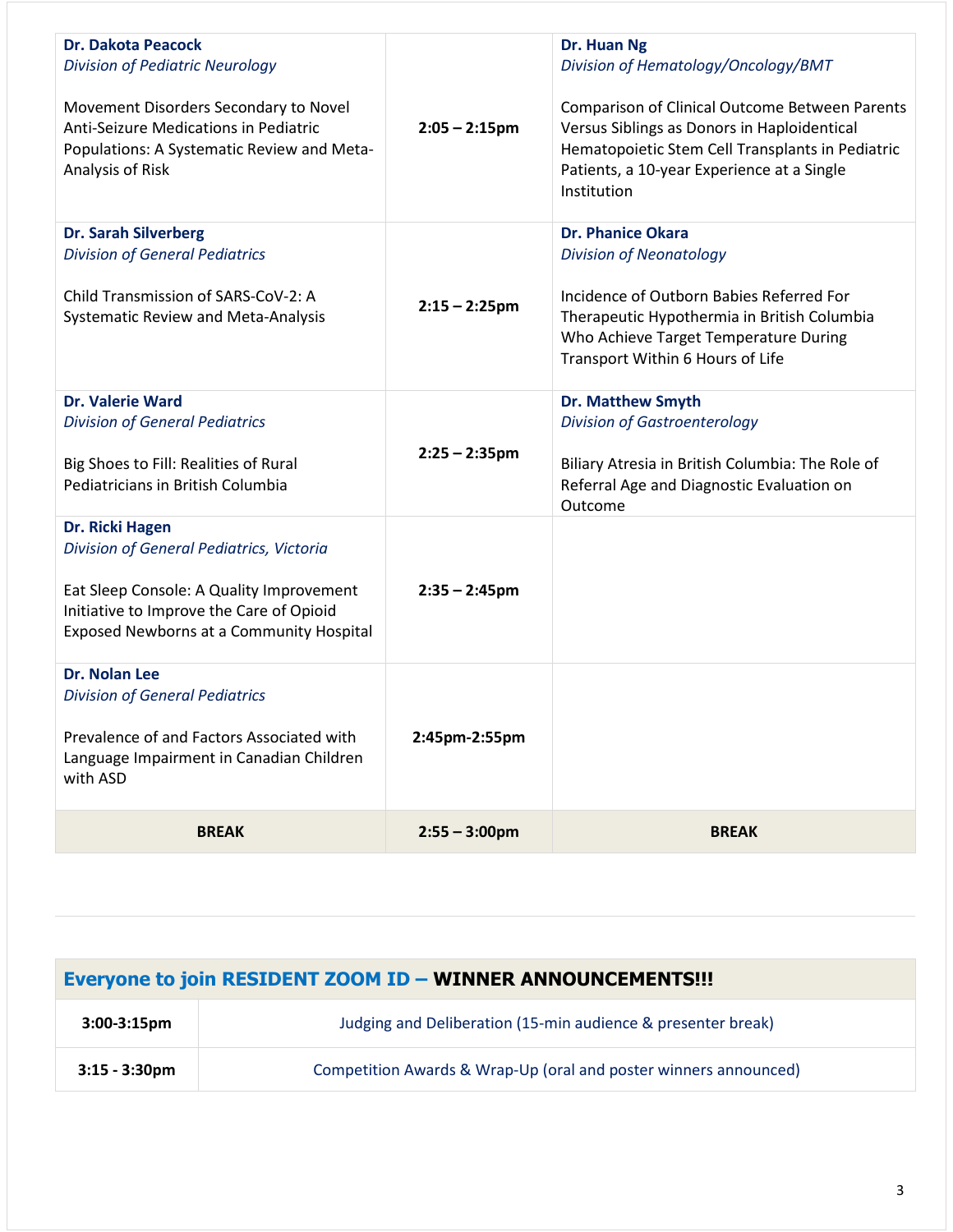| <b>Dr. Dakota Peacock</b><br><b>Division of Pediatric Neurology</b><br>Movement Disorders Secondary to Novel<br>Anti-Seizure Medications in Pediatric<br>Populations: A Systematic Review and Meta-<br>Analysis of Risk | $2:05 - 2:15$ pm | Dr. Huan Ng<br>Division of Hematology/Oncology/BMT<br><b>Comparison of Clinical Outcome Between Parents</b><br>Versus Siblings as Donors in Haploidentical<br>Hematopoietic Stem Cell Transplants in Pediatric<br>Patients, a 10-year Experience at a Single<br>Institution |
|-------------------------------------------------------------------------------------------------------------------------------------------------------------------------------------------------------------------------|------------------|-----------------------------------------------------------------------------------------------------------------------------------------------------------------------------------------------------------------------------------------------------------------------------|
| <b>Dr. Sarah Silverberg</b><br><b>Division of General Pediatrics</b><br>Child Transmission of SARS-CoV-2: A<br><b>Systematic Review and Meta-Analysis</b>                                                               | $2:15 - 2:25$ pm | <b>Dr. Phanice Okara</b><br><b>Division of Neonatology</b><br>Incidence of Outborn Babies Referred For<br>Therapeutic Hypothermia in British Columbia<br>Who Achieve Target Temperature During<br>Transport Within 6 Hours of Life                                          |
| <b>Dr. Valerie Ward</b><br><b>Division of General Pediatrics</b><br>Big Shoes to Fill: Realities of Rural<br>Pediatricians in British Columbia                                                                          | $2:25 - 2:35$ pm | <b>Dr. Matthew Smyth</b><br><b>Division of Gastroenterology</b><br>Biliary Atresia in British Columbia: The Role of<br>Referral Age and Diagnostic Evaluation on<br>Outcome                                                                                                 |
| Dr. Ricki Hagen<br>Division of General Pediatrics, Victoria<br>Eat Sleep Console: A Quality Improvement<br>Initiative to Improve the Care of Opioid<br>Exposed Newborns at a Community Hospital                         | $2:35 - 2:45$ pm |                                                                                                                                                                                                                                                                             |
| <b>Dr. Nolan Lee</b><br><b>Division of General Pediatrics</b><br>Prevalence of and Factors Associated with<br>Language Impairment in Canadian Children<br>with ASD                                                      | 2:45pm-2:55pm    |                                                                                                                                                                                                                                                                             |
| <b>BREAK</b>                                                                                                                                                                                                            | $2:55 - 3:00$ pm | <b>BREAK</b>                                                                                                                                                                                                                                                                |

| <b>Everyone to join RESIDENT ZOOM ID - WINNER ANNOUNCEMENTS!!!</b> |                                                                  |  |
|--------------------------------------------------------------------|------------------------------------------------------------------|--|
| $3:00-3:15 \text{pm}$                                              | Judging and Deliberation (15-min audience & presenter break)     |  |
| $3:15 - 3:30$ pm                                                   | Competition Awards & Wrap-Up (oral and poster winners announced) |  |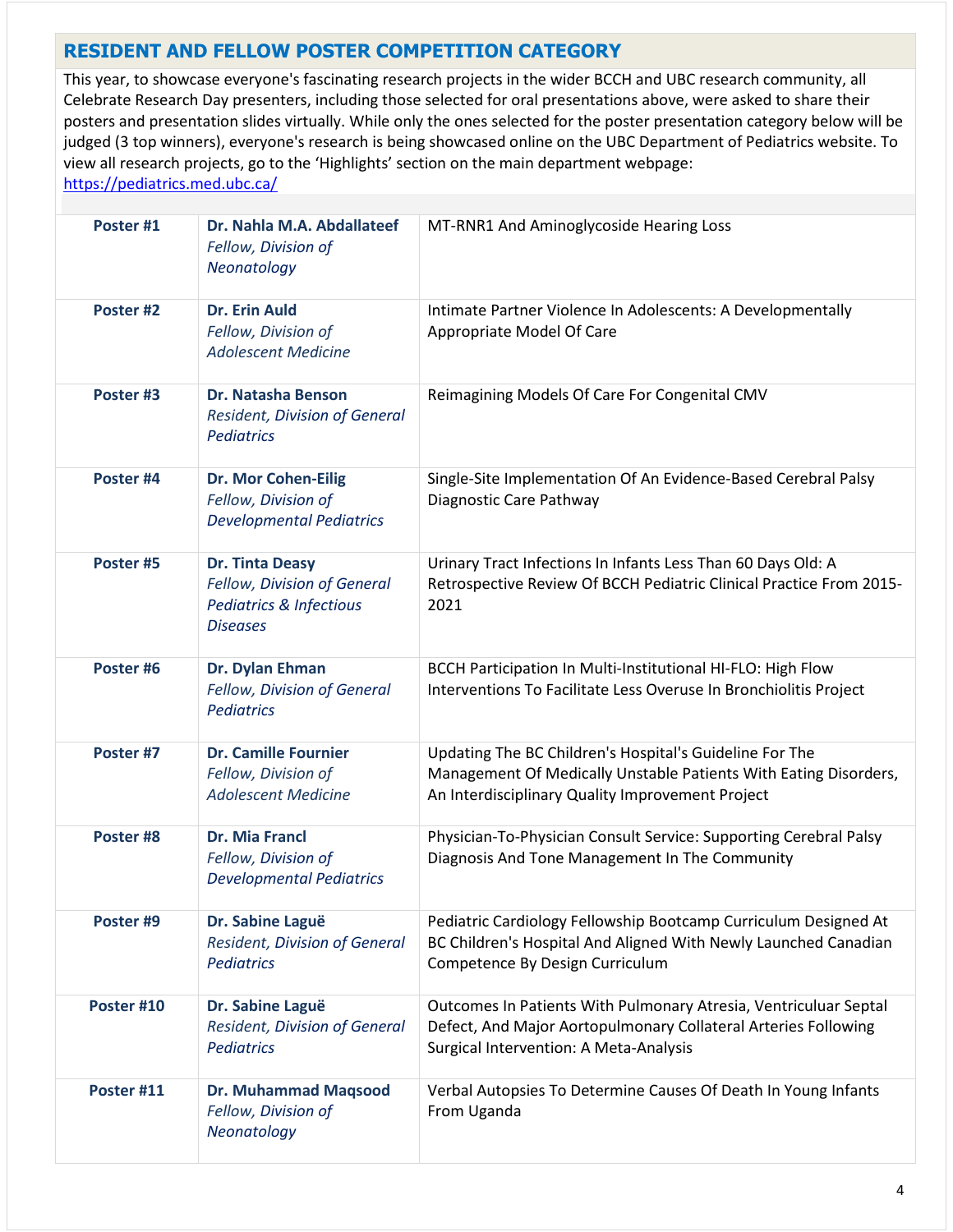#### **RESIDENT AND FELLOW POSTER COMPETITION CATEGORY**

This year, to showcase everyone's fascinating research projects in the wider BCCH and UBC research community, all Celebrate Research Day presenters, including those selected for oral presentations above, were asked to share their posters and presentation slides virtually. While only the ones selected for the poster presentation category below will be judged (3 top winners), everyone's research is being showcased online on the UBC Department of Pediatrics website. To view all research projects, go to the 'Highlights' section on the main department webpage: <https://pediatrics.med.ubc.ca/>

| Poster #1  | Dr. Nahla M.A. Abdallateef<br>Fellow, Division of<br>Neonatology                                               | MT-RNR1 And Aminoglycoside Hearing Loss                                                                                                                                         |
|------------|----------------------------------------------------------------------------------------------------------------|---------------------------------------------------------------------------------------------------------------------------------------------------------------------------------|
| Poster #2  | <b>Dr. Erin Auld</b><br>Fellow, Division of<br><b>Adolescent Medicine</b>                                      | Intimate Partner Violence In Adolescents: A Developmentally<br>Appropriate Model Of Care                                                                                        |
| Poster #3  | Dr. Natasha Benson<br><b>Resident, Division of General</b><br><b>Pediatrics</b>                                | Reimagining Models Of Care For Congenital CMV                                                                                                                                   |
| Poster #4  | <b>Dr. Mor Cohen-Eilig</b><br>Fellow, Division of<br><b>Developmental Pediatrics</b>                           | Single-Site Implementation Of An Evidence-Based Cerebral Palsy<br>Diagnostic Care Pathway                                                                                       |
| Poster #5  | <b>Dr. Tinta Deasy</b><br>Fellow, Division of General<br><b>Pediatrics &amp; Infectious</b><br><b>Diseases</b> | Urinary Tract Infections In Infants Less Than 60 Days Old: A<br>Retrospective Review Of BCCH Pediatric Clinical Practice From 2015-<br>2021                                     |
| Poster #6  | Dr. Dylan Ehman<br>Fellow, Division of General<br><b>Pediatrics</b>                                            | BCCH Participation In Multi-Institutional HI-FLO: High Flow<br>Interventions To Facilitate Less Overuse In Bronchiolitis Project                                                |
| Poster #7  | <b>Dr. Camille Fournier</b><br>Fellow, Division of<br><b>Adolescent Medicine</b>                               | Updating The BC Children's Hospital's Guideline For The<br>Management Of Medically Unstable Patients With Eating Disorders,<br>An Interdisciplinary Quality Improvement Project |
| Poster #8  | <b>Dr. Mia Francl</b><br>Fellow, Division of<br><b>Developmental Pediatrics</b>                                | Physician-To-Physician Consult Service: Supporting Cerebral Palsy<br>Diagnosis And Tone Management In The Community                                                             |
| Poster #9  | Dr. Sabine Laguë<br>Resident, Division of General<br><b>Pediatrics</b>                                         | Pediatric Cardiology Fellowship Bootcamp Curriculum Designed At<br>BC Children's Hospital And Aligned With Newly Launched Canadian<br>Competence By Design Curriculum           |
| Poster #10 | Dr. Sabine Laguë<br>Resident, Division of General<br><b>Pediatrics</b>                                         | Outcomes In Patients With Pulmonary Atresia, Ventriculuar Septal<br>Defect, And Major Aortopulmonary Collateral Arteries Following<br>Surgical Intervention: A Meta-Analysis    |
| Poster #11 | <b>Dr. Muhammad Maqsood</b><br>Fellow, Division of<br>Neonatology                                              | Verbal Autopsies To Determine Causes Of Death In Young Infants<br>From Uganda                                                                                                   |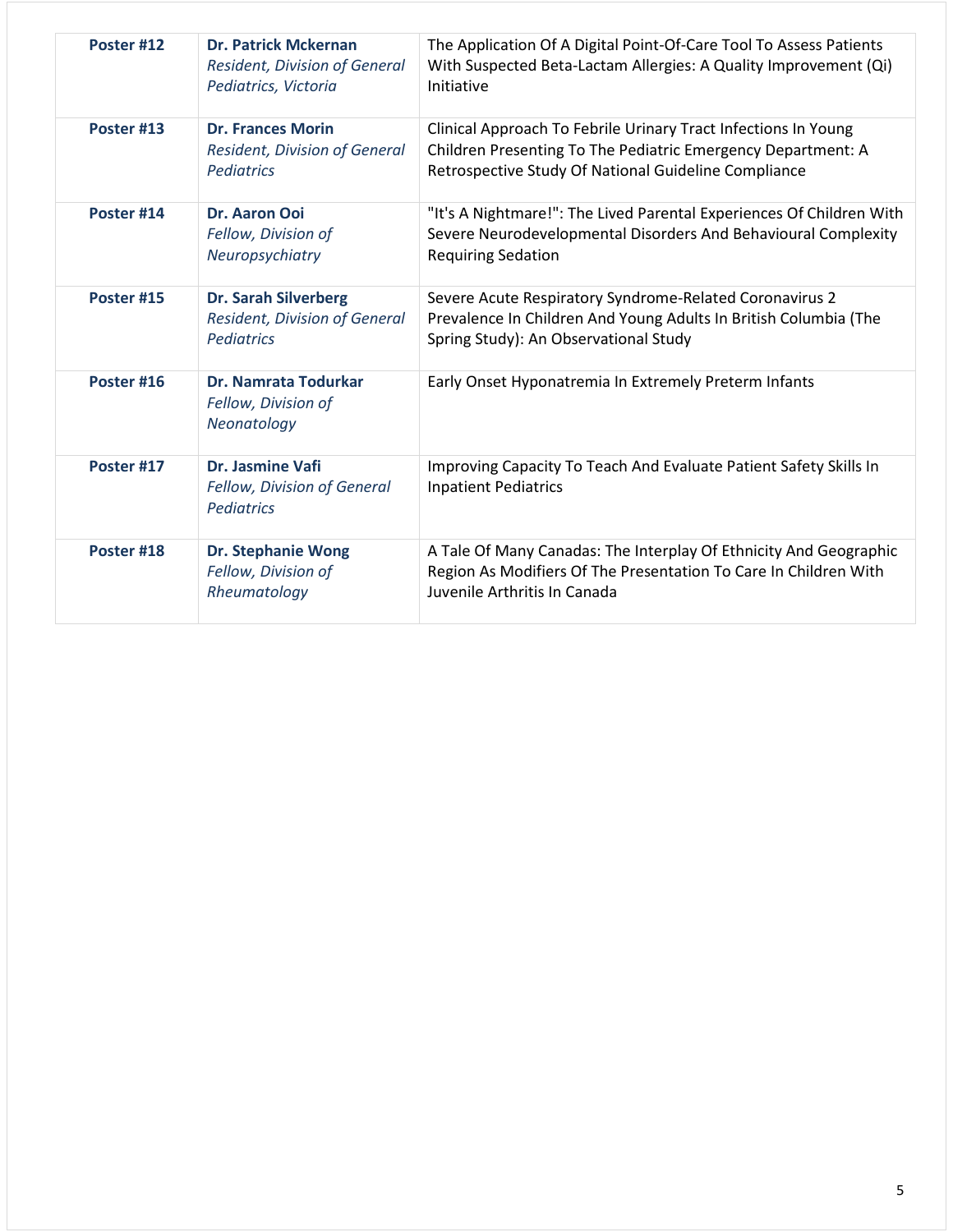| Poster #12 | <b>Dr. Patrick Mckernan</b><br><b>Resident, Division of General</b><br>Pediatrics, Victoria | The Application Of A Digital Point-Of-Care Tool To Assess Patients<br>With Suspected Beta-Lactam Allergies: A Quality Improvement (Qi)<br>Initiative                                   |
|------------|---------------------------------------------------------------------------------------------|----------------------------------------------------------------------------------------------------------------------------------------------------------------------------------------|
| Poster #13 | <b>Dr. Frances Morin</b><br><b>Resident, Division of General</b><br><b>Pediatrics</b>       | Clinical Approach To Febrile Urinary Tract Infections In Young<br>Children Presenting To The Pediatric Emergency Department: A<br>Retrospective Study Of National Guideline Compliance |
| Poster #14 | <b>Dr. Aaron Ooi</b><br>Fellow, Division of<br>Neuropsychiatry                              | "It's A Nightmare!": The Lived Parental Experiences Of Children With<br>Severe Neurodevelopmental Disorders And Behavioural Complexity<br><b>Requiring Sedation</b>                    |
| Poster #15 | <b>Dr. Sarah Silverberg</b><br><b>Resident, Division of General</b><br><b>Pediatrics</b>    | Severe Acute Respiratory Syndrome-Related Coronavirus 2<br>Prevalence In Children And Young Adults In British Columbia (The<br>Spring Study): An Observational Study                   |
| Poster #16 | Dr. Namrata Todurkar<br>Fellow, Division of<br>Neonatology                                  | Early Onset Hyponatremia In Extremely Preterm Infants                                                                                                                                  |
| Poster #17 | Dr. Jasmine Vafi<br>Fellow, Division of General<br><b>Pediatrics</b>                        | Improving Capacity To Teach And Evaluate Patient Safety Skills In<br><b>Inpatient Pediatrics</b>                                                                                       |
| Poster #18 | <b>Dr. Stephanie Wong</b><br>Fellow, Division of<br>Rheumatology                            | A Tale Of Many Canadas: The Interplay Of Ethnicity And Geographic<br>Region As Modifiers Of The Presentation To Care In Children With<br>Juvenile Arthritis In Canada                  |